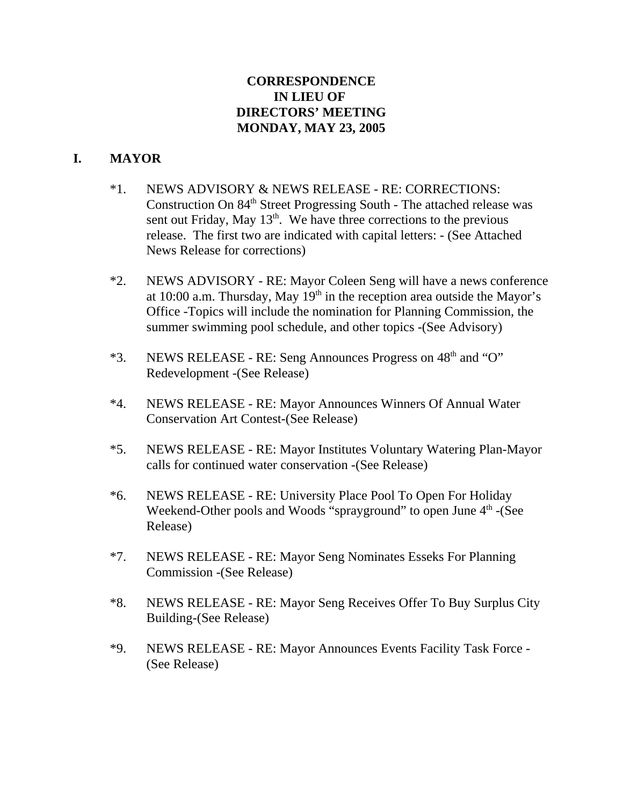## **CORRESPONDENCE IN LIEU OF DIRECTORS' MEETING MONDAY, MAY 23, 2005**

# **I. MAYOR**

- \*1. NEWS ADVISORY & NEWS RELEASE RE: CORRECTIONS: Construction On 84<sup>th</sup> Street Progressing South - The attached release was sent out Friday, May  $13<sup>th</sup>$ . We have three corrections to the previous release. The first two are indicated with capital letters: - (See Attached News Release for corrections)
- \*2. NEWS ADVISORY RE: Mayor Coleen Seng will have a news conference at 10:00 a.m. Thursday, May  $19<sup>th</sup>$  in the reception area outside the Mayor's Office -Topics will include the nomination for Planning Commission, the summer swimming pool schedule, and other topics -(See Advisory)
- $*3.$  NEWS RELEASE RE: Seng Announces Progress on  $48<sup>th</sup>$  and "O" Redevelopment -(See Release)
- \*4. NEWS RELEASE RE: Mayor Announces Winners Of Annual Water Conservation Art Contest-(See Release)
- \*5. NEWS RELEASE RE: Mayor Institutes Voluntary Watering Plan-Mayor calls for continued water conservation -(See Release)
- \*6. NEWS RELEASE RE: University Place Pool To Open For Holiday Weekend-Other pools and Woods "sprayground" to open June  $4<sup>th</sup>$  -(See Release)
- \*7. NEWS RELEASE RE: Mayor Seng Nominates Esseks For Planning Commission -(See Release)
- \*8. NEWS RELEASE RE: Mayor Seng Receives Offer To Buy Surplus City Building-(See Release)
- \*9. NEWS RELEASE RE: Mayor Announces Events Facility Task Force (See Release)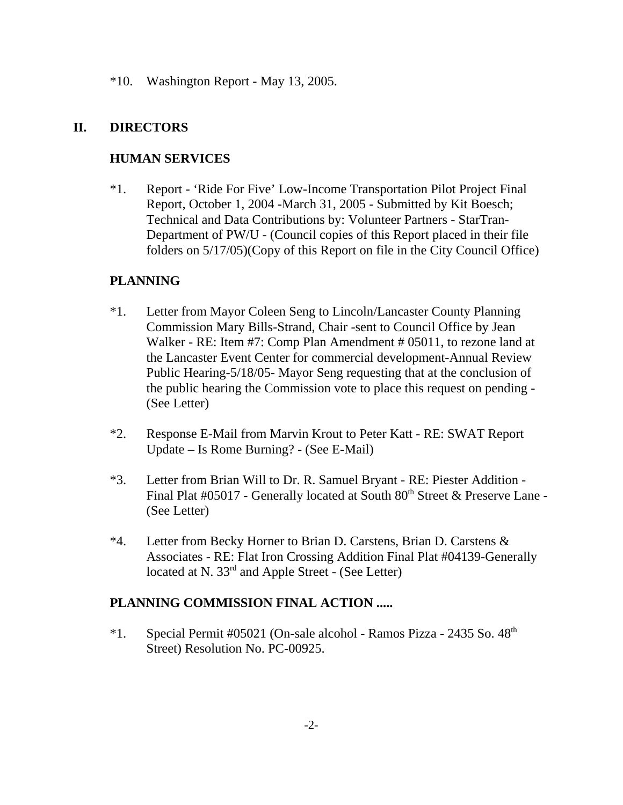\*10. Washington Report - May 13, 2005.

## **II. DIRECTORS**

## **HUMAN SERVICES**

\*1. Report - 'Ride For Five' Low-Income Transportation Pilot Project Final Report, October 1, 2004 -March 31, 2005 - Submitted by Kit Boesch; Technical and Data Contributions by: Volunteer Partners - StarTran-Department of PW/U - (Council copies of this Report placed in their file folders on 5/17/05)(Copy of this Report on file in the City Council Office)

## **PLANNING**

- \*1. Letter from Mayor Coleen Seng to Lincoln/Lancaster County Planning Commission Mary Bills-Strand, Chair -sent to Council Office by Jean Walker - RE: Item #7: Comp Plan Amendment # 05011, to rezone land at the Lancaster Event Center for commercial development-Annual Review Public Hearing-5/18/05- Mayor Seng requesting that at the conclusion of the public hearing the Commission vote to place this request on pending - (See Letter)
- \*2. Response E-Mail from Marvin Krout to Peter Katt RE: SWAT Report Update – Is Rome Burning? - (See E-Mail)
- \*3. Letter from Brian Will to Dr. R. Samuel Bryant RE: Piester Addition Final Plat #05017 - Generally located at South  $80<sup>th</sup>$  Street & Preserve Lane -(See Letter)
- \*4. Letter from Becky Horner to Brian D. Carstens, Brian D. Carstens & Associates - RE: Flat Iron Crossing Addition Final Plat #04139-Generally located at N. 33<sup>rd</sup> and Apple Street - (See Letter)

### **PLANNING COMMISSION FINAL ACTION .....**

 $*1.$  Special Permit #05021 (On-sale alcohol - Ramos Pizza - 2435 So.  $48<sup>th</sup>$ ) Street) Resolution No. PC-00925.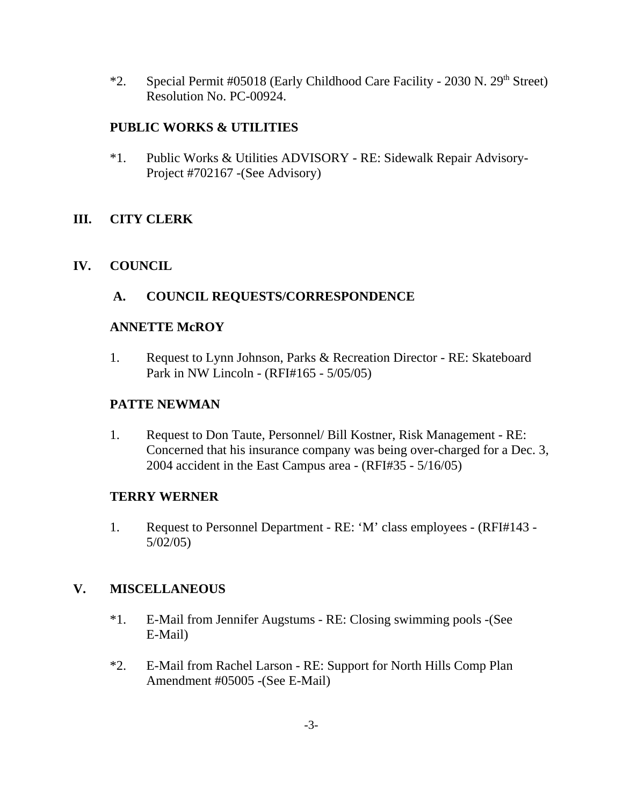\*2. Special Permit #05018 (Early Childhood Care Facility - 2030 N. 29<sup>th</sup> Street) Resolution No. PC-00924.

# **PUBLIC WORKS & UTILITIES**

\*1. Public Works & Utilities ADVISORY - RE: Sidewalk Repair Advisory-Project #702167 -(See Advisory)

# **III. CITY CLERK**

## **IV. COUNCIL**

# **A. COUNCIL REQUESTS/CORRESPONDENCE**

### **ANNETTE McROY**

1. Request to Lynn Johnson, Parks & Recreation Director - RE: Skateboard Park in NW Lincoln - (RFI#165 - 5/05/05)

### **PATTE NEWMAN**

1. Request to Don Taute, Personnel/ Bill Kostner, Risk Management - RE: Concerned that his insurance company was being over-charged for a Dec. 3, 2004 accident in the East Campus area - (RFI#35 - 5/16/05)

### **TERRY WERNER**

1. Request to Personnel Department - RE: 'M' class employees - (RFI#143 - 5/02/05)

### **V. MISCELLANEOUS**

- \*1. E-Mail from Jennifer Augstums RE: Closing swimming pools -(See E-Mail)
- \*2. E-Mail from Rachel Larson RE: Support for North Hills Comp Plan Amendment #05005 -(See E-Mail)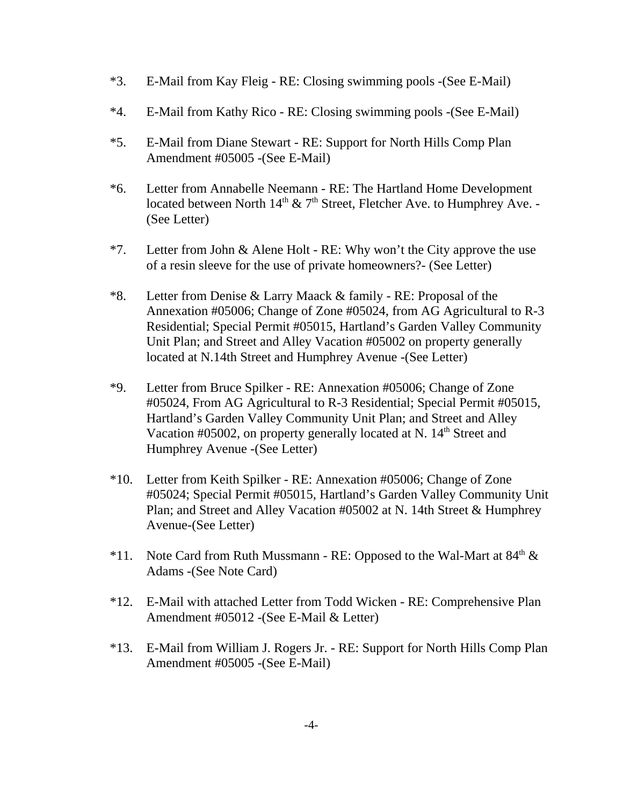- \*3. E-Mail from Kay Fleig RE: Closing swimming pools -(See E-Mail)
- \*4. E-Mail from Kathy Rico RE: Closing swimming pools -(See E-Mail)
- \*5. E-Mail from Diane Stewart RE: Support for North Hills Comp Plan Amendment #05005 -(See E-Mail)
- \*6. Letter from Annabelle Neemann RE: The Hartland Home Development located between North  $14<sup>th</sup>$  & 7<sup>th</sup> Street, Fletcher Ave. to Humphrey Ave. -(See Letter)
- \*7. Letter from John & Alene Holt RE: Why won't the City approve the use of a resin sleeve for the use of private homeowners?- (See Letter)
- \*8. Letter from Denise & Larry Maack & family RE: Proposal of the Annexation #05006; Change of Zone #05024, from AG Agricultural to R-3 Residential; Special Permit #05015, Hartland's Garden Valley Community Unit Plan; and Street and Alley Vacation #05002 on property generally located at N.14th Street and Humphrey Avenue -(See Letter)
- \*9. Letter from Bruce Spilker RE: Annexation #05006; Change of Zone #05024, From AG Agricultural to R-3 Residential; Special Permit #05015, Hartland's Garden Valley Community Unit Plan; and Street and Alley Vacation #05002, on property generally located at N.  $14<sup>th</sup>$  Street and Humphrey Avenue -(See Letter)
- \*10. Letter from Keith Spilker RE: Annexation #05006; Change of Zone #05024; Special Permit #05015, Hartland's Garden Valley Community Unit Plan; and Street and Alley Vacation #05002 at N. 14th Street & Humphrey Avenue-(See Letter)
- \*11. Note Card from Ruth Mussmann RE: Opposed to the Wal-Mart at  $84<sup>th</sup>$  & Adams -(See Note Card)
- \*12. E-Mail with attached Letter from Todd Wicken RE: Comprehensive Plan Amendment #05012 -(See E-Mail & Letter)
- \*13. E-Mail from William J. Rogers Jr. RE: Support for North Hills Comp Plan Amendment #05005 -(See E-Mail)